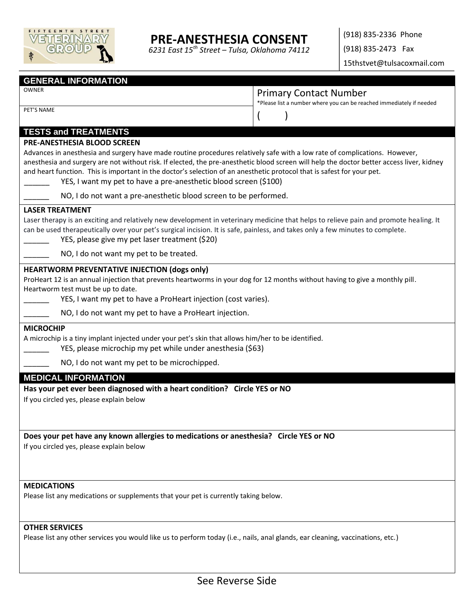

## **PRE-ANESTHESIA CONSENT**

*6231 East 15th Street – Tulsa, Oklahoma 74112*

(918) 835-2336 Phone (918) 835-2473 Fax

15thstvet@tulsacoxmail.com

#### **GENERAL INFORMATION**

PET'S NAME

## OWNER CONTENTS ON PRIMARY CONTACT Number

\*Please list a number where you can be reached immediately if needed

| <b>TESTS and TREATMENTS</b> |  |
|-----------------------------|--|

#### **PRE-ANESTHESIA BLOOD SCREEN**

Advances in anesthesia and surgery have made routine procedures relatively safe with a low rate of complications. However, anesthesia and surgery are not without risk. If elected, the pre-anesthetic blood screen will help the doctor better access liver, kidney and heart function. This is important in the doctor's selection of an anesthetic protocol that is safest for your pet.

- YES, I want my pet to have a pre-anesthetic blood screen (\$100)
- NO, I do not want a pre-anesthetic blood screen to be performed.

#### **LASER TREATMENT**

Laser therapy is an exciting and relatively new development in veterinary medicine that helps to relieve pain and promote healing. It can be used therapeutically over your pet's surgical incision. It is safe, painless, and takes only a few minutes to complete.

YES, please give my pet laser treatment (\$20)

NO, I do not want my pet to be treated.

#### **HEARTWORM PREVENTATIVE INJECTION (dogs only)**

ProHeart 12 is an annual injection that prevents heartworms in your dog for 12 months without having to give a monthly pill. Heartworm test must be up to date.

YES, I want my pet to have a ProHeart injection (cost varies).

NO, I do not want my pet to have a ProHeart injection.

#### **MICROCHIP**

A microchip is a tiny implant injected under your pet's skin that allows him/her to be identified.

YES, please microchip my pet while under anesthesia (\$63)

NO, I do not want my pet to be microchipped.

#### **MEDICAL INFORMATION**

**Has your pet ever been diagnosed with a heart condition? Circle YES or NO** 

If you circled yes, please explain below

**Does your pet have any known allergies to medications or anesthesia? Circle YES or NO** 

If you circled yes, please explain below

#### **MEDICATIONS**

Please list any medications or supplements that your pet is currently taking below.

### **OTHER SERVICES**

Please list any other services you would like us to perform today (i.e., nails, anal glands, ear cleaning, vaccinations, etc.)